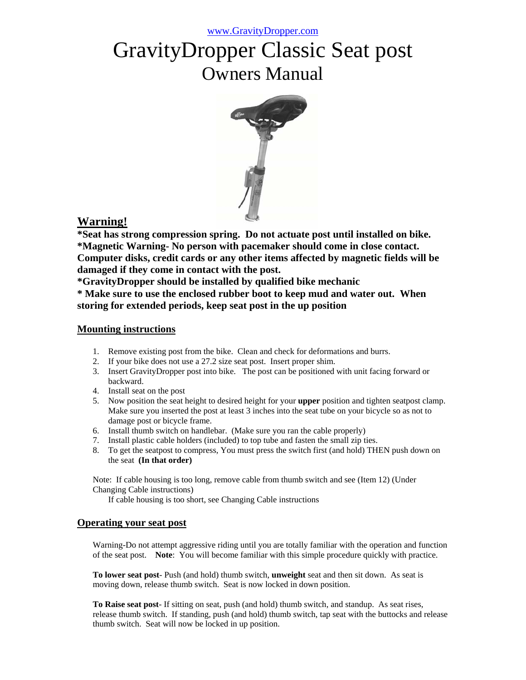# GravityDropper Classic Seat post Owners Manual



# **Warning!**

**\*Seat has strong compression spring. Do not actuate post until installed on bike. \*Magnetic Warning- No person with pacemaker should come in close contact. Computer disks, credit cards or any other items affected by magnetic fields will be damaged if they come in contact with the post.**

**\*GravityDropper should be installed by qualified bike mechanic**

**\* Make sure to use the enclosed rubber boot to keep mud and water out. When storing for extended periods, keep seat post in the up position**

# **Mounting instructions**

- 1. Remove existing post from the bike. Clean and check for deformations and burrs.
- 2. If your bike does not use a 27.2 size seat post. Insert proper shim.
- 3. Insert GravityDropper post into bike. The post can be positioned with unit facing forward or backward.
- 4. Install seat on the post
- 5. Now position the seat height to desired height for your **upper** position and tighten seatpost clamp. Make sure you inserted the post at least 3 inches into the seat tube on your bicycle so as not to damage post or bicycle frame.
- 6. Install thumb switch on handlebar. (Make sure you ran the cable properly)
- 7. Install plastic cable holders (included) to top tube and fasten the small zip ties.
- 8. To get the seatpost to compress, You must press the switch first (and hold) THEN push down on the seat **(In that order)**

Note: If cable housing is too long, remove cable from thumb switch and see (Item 12) (Under Changing Cable instructions)

If cable housing is too short, see Changing Cable instructions

# **Operating your seat post**

Warning-Do not attempt aggressive riding until you are totally familiar with the operation and function of the seat post. **Note**: You will become familiar with this simple procedure quickly with practice.

**To lower seat post**- Push (and hold) thumb switch, **unweight** seat and then sit down. As seat is moving down, release thumb switch. Seat is now locked in down position.

**To Raise seat post**- If sitting on seat, push (and hold) thumb switch, and standup. As seat rises, release thumb switch. If standing, push (and hold) thumb switch, tap seat with the buttocks and release thumb switch. Seat will now be locked in up position.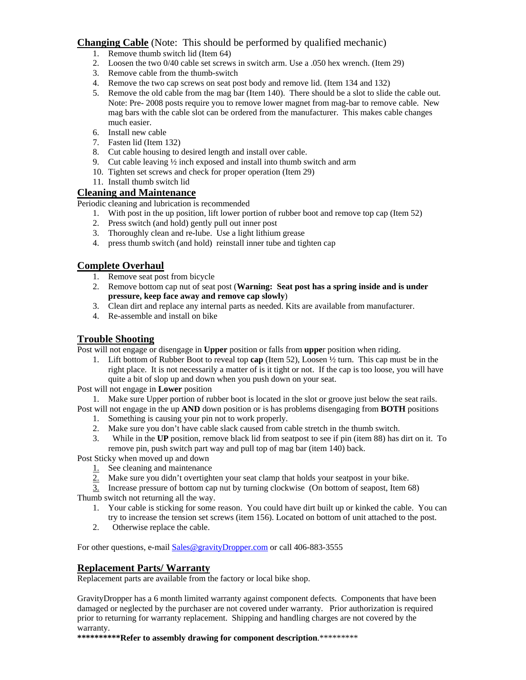#### **Changing Cable** (Note: This should be performed by qualified mechanic)

- 1. Remove thumb switch lid (Item 64)
- 2. Loosen the two 0/40 cable set screws in switch arm. Use a .050 hex wrench. (Item 29)
- 3. Remove cable from the thumb-switch
- 4. Remove the two cap screws on seat post body and remove lid. (Item 134 and 132)
- 5. Remove the old cable from the mag bar (Item 140). There should be a slot to slide the cable out. Note: Pre- 2008 posts require you to remove lower magnet from mag-bar to remove cable. New mag bars with the cable slot can be ordered from the manufacturer. This makes cable changes much easier.
- 6. Install new cable
- 7. Fasten lid (Item 132)
- 8. Cut cable housing to desired length and install over cable.
- 9. Cut cable leaving ½ inch exposed and install into thumb switch and arm
- 10. Tighten set screws and check for proper operation (Item 29)
- 11. Install thumb switch lid

# **Cleaning and Maintenance**

Periodic cleaning and lubrication is recommended

- 1. With post in the up position, lift lower portion of rubber boot and remove top cap (Item 52)
- 2. Press switch (and hold) gently pull out inner post
- 3. Thoroughly clean and re-lube. Use a light lithium grease
- 4. press thumb switch (and hold) reinstall inner tube and tighten cap

# **Complete Overhaul**

- 1. Remove seat post from bicycle
- 2. Remove bottom cap nut of seat post (**Warning: Seat post has a spring inside and is under pressure, keep face away and remove cap slowly**)
- 3. Clean dirt and replace any internal parts as needed. Kits are available from manufacturer.
- 4. Re-assemble and install on bike

#### **Trouble Shooting**

Post will not engage or disengage in **Upper** position or falls from **uppe**r position when riding.

1. Lift bottom of Rubber Boot to reveal top **cap** (Item 52), Loosen ½ turn. This cap must be in the right place. It is not necessarily a matter of is it tight or not. If the cap is too loose, you will have quite a bit of slop up and down when you push down on your seat.

Post will not engage in **Lower** position

1. Make sure Upper portion of rubber boot is located in the slot or groove just below the seat rails. Post will not engage in the up **AND** down position or is has problems disengaging from **BOTH** positions

- 1. Something is causing your pin not to work properly.
- 2. Make sure you don't have cable slack caused from cable stretch in the thumb switch.
- 3. While in the **UP** position, remove black lid from seatpost to see if pin (item 88) has dirt on it. To remove pin, push switch part way and pull top of mag bar (item 140) back.

Post Sticky when moved up and down

- 1. See cleaning and maintenance
- 2. Make sure you didn't overtighten your seat clamp that holds your seatpost in your bike.
- 3. Increase pressure of bottom cap nut by turning clockwise (On bottom of seapost, Item 68) Thumb switch not returning all the way.
	- 1. Your cable is sticking for some reason. You could have dirt built up or kinked the cable. You can try to increase the tension set screws (item 156). Located on bottom of unit attached to the post.
	- 2. Otherwise replace the cable.

For other questions, e-mail Sales@gravityDropper.com or call 406-883-3555

#### **Replacement Parts/ Warranty**

Replacement parts are available from the factory or local bike shop.

GravityDropper has a 6 month limited warranty against component defects. Components that have been damaged or neglected by the purchaser are not covered under warranty. Prior authorization is required prior to returning for warranty replacement. Shipping and handling charges are not covered by the warranty.

**\*\*\*\*\*\*\*\*\*\*Refer to assembly drawing for component description**.\*\*\*\*\*\*\*\*\*